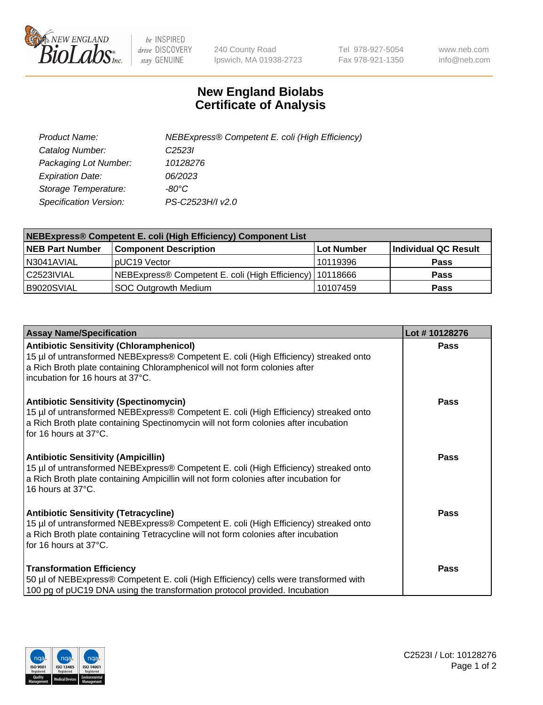

 $be$  INSPIRED drive DISCOVERY stay GENUINE

240 County Road Ipswich, MA 01938-2723 Tel 978-927-5054 Fax 978-921-1350 www.neb.com info@neb.com

## **New England Biolabs Certificate of Analysis**

| Product Name:           | NEBExpress® Competent E. coli (High Efficiency) |
|-------------------------|-------------------------------------------------|
| Catalog Number:         | C <sub>2523</sub>                               |
| Packaging Lot Number:   | 10128276                                        |
| <b>Expiration Date:</b> | 06/2023                                         |
| Storage Temperature:    | -80°C                                           |
| Specification Version:  | PS-C2523H/I v2.0                                |

| NEBExpress® Competent E. coli (High Efficiency) Component List |                                                            |            |                      |  |
|----------------------------------------------------------------|------------------------------------------------------------|------------|----------------------|--|
| <b>NEB Part Number</b>                                         | <b>Component Description</b>                               | Lot Number | Individual QC Result |  |
| N3041AVIAL                                                     | pUC19 Vector                                               | 10119396   | <b>Pass</b>          |  |
| C2523IVIAL                                                     | NEBExpress® Competent E. coli (High Efficiency)   10118666 |            | <b>Pass</b>          |  |
| B9020SVIAL                                                     | <b>SOC Outgrowth Medium</b>                                | 10107459   | <b>Pass</b>          |  |

| <b>Assay Name/Specification</b>                                                                                                                                                                                                                           | Lot #10128276 |
|-----------------------------------------------------------------------------------------------------------------------------------------------------------------------------------------------------------------------------------------------------------|---------------|
| <b>Antibiotic Sensitivity (Chloramphenicol)</b><br>15 µl of untransformed NEBExpress® Competent E. coli (High Efficiency) streaked onto<br>a Rich Broth plate containing Chloramphenicol will not form colonies after<br>incubation for 16 hours at 37°C. | Pass          |
| <b>Antibiotic Sensitivity (Spectinomycin)</b><br>15 µl of untransformed NEBExpress® Competent E. coli (High Efficiency) streaked onto<br>a Rich Broth plate containing Spectinomycin will not form colonies after incubation<br>for 16 hours at 37°C.     | Pass          |
| <b>Antibiotic Sensitivity (Ampicillin)</b><br>15 µl of untransformed NEBExpress® Competent E. coli (High Efficiency) streaked onto<br>a Rich Broth plate containing Ampicillin will not form colonies after incubation for<br>16 hours at 37°C.           | Pass          |
| <b>Antibiotic Sensitivity (Tetracycline)</b><br>15 µl of untransformed NEBExpress® Competent E. coli (High Efficiency) streaked onto<br>a Rich Broth plate containing Tetracycline will not form colonies after incubation<br>for 16 hours at 37°C.       | <b>Pass</b>   |
| <b>Transformation Efficiency</b><br>50 µl of NEBExpress® Competent E. coli (High Efficiency) cells were transformed with<br>100 pg of pUC19 DNA using the transformation protocol provided. Incubation                                                    | Pass          |